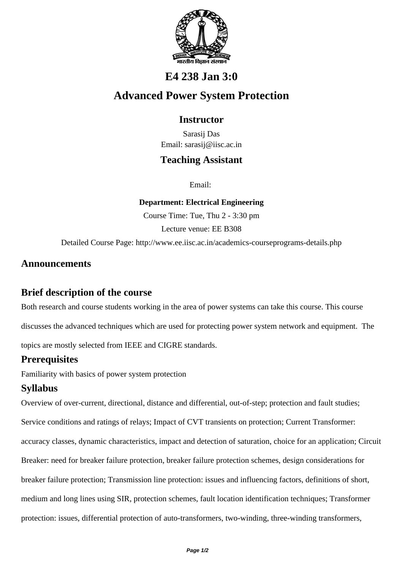

# **E4 238 Jan 3:0**

# **Advanced Power System Protection**

#### **Instructor**

Sarasij Das Email: sarasij@iisc.ac.in

## **Teaching Assistant**

Email:

**Department: Electrical Engineering**

Course Time: Tue, Thu 2 - 3:30 pm

Lecture venue: EE B308

Detailed Course Page: http://www.ee.iisc.ac.in/academics-courseprograms-details.php

#### **Announcements**

#### **Brief description of the course**

Both research and course students working in the area of power systems can take this course. This course discusses the advanced techniques which are used for protecting power system network and equipment. The

topics are mostly selected from IEEE and CIGRE standards.

# **Prerequisites**

Familiarity with basics of power system protection

# **Syllabus**

Overview of over-current, directional, distance and differential, out-of-step; protection and fault studies; Service conditions and ratings of relays; Impact of CVT transients on protection; Current Transformer: accuracy classes, dynamic characteristics, impact and detection of saturation, choice for an application; Circuit Breaker: need for breaker failure protection, breaker failure protection schemes, design considerations for breaker failure protection; Transmission line protection: issues and influencing factors, definitions of short, medium and long lines using SIR, protection schemes, fault location identification techniques; Transformer protection: issues, differential protection of auto-transformers, two-winding, three-winding transformers,